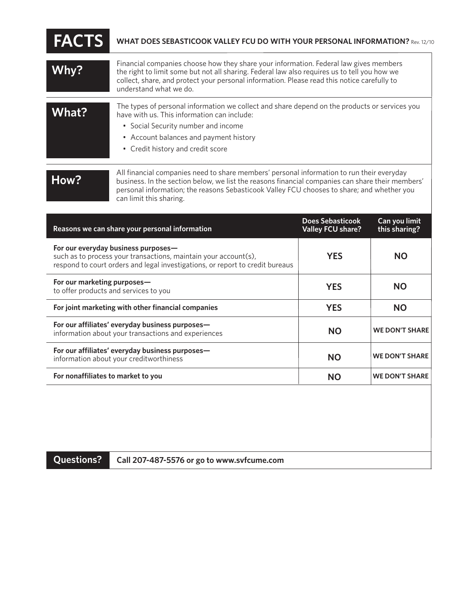| <b>FACTS</b> | WHAT DOES SEBASTICOOK VALLEY FCU DO WITH YOUR PERSONAL INFORMATION? Rev. 12/10                                                                                                                                                                                                                                 |
|--------------|----------------------------------------------------------------------------------------------------------------------------------------------------------------------------------------------------------------------------------------------------------------------------------------------------------------|
| Why?         | Financial companies choose how they share your information. Federal law gives members<br>the right to limit some but not all sharing. Federal law also requires us to tell you how we<br>collect, share, and protect your personal information. Please read this notice carefully to<br>understand what we do. |
| What?        | The types of personal information we collect and share depend on the products or services you<br>have with us. This information can include:<br>• Social Security number and income<br>• Account balances and payment history<br>• Credit history and credit score                                             |
| How?         | All financial companies need to share members' personal information to run their everyday<br>business. In the section below, we list the reasons financial companies can share their members'<br>personal information: the reasons Sebasticook Valley FCU chooses to share: and whether you                    |

| Reasons we can share your personal information                                                                                                                                          | Does Sebasticook<br><b>Valley FCU share?</b> | Can you limit<br>this sharing? |
|-----------------------------------------------------------------------------------------------------------------------------------------------------------------------------------------|----------------------------------------------|--------------------------------|
| For our everyday business purposes—<br>such as to process your transactions, maintain your account(s),<br>respond to court orders and legal investigations, or report to credit bureaus | <b>YES</b>                                   | ΝO                             |
| For our marketing purposes-<br>to offer products and services to you                                                                                                                    | <b>YES</b>                                   | <b>NO</b>                      |
| For joint marketing with other financial companies                                                                                                                                      | <b>YES</b>                                   | <b>NO</b>                      |
| For our affiliates' everyday business purposes—<br>information about your transactions and experiences                                                                                  | <b>NO</b>                                    | <b>WE DON'T SHARE</b>          |
| For our affiliates' everyday business purposes-<br>information about your creditworthiness                                                                                              | ΝO                                           | <b>WE DON'T SHARE</b>          |
| For nonaffiliates to market to you                                                                                                                                                      | NΟ                                           | <b>WE DON'T SHARE</b>          |

**Questions? Call 207-487-5576 or go to www.svfcume.com**

.<br>can limit this sharing.